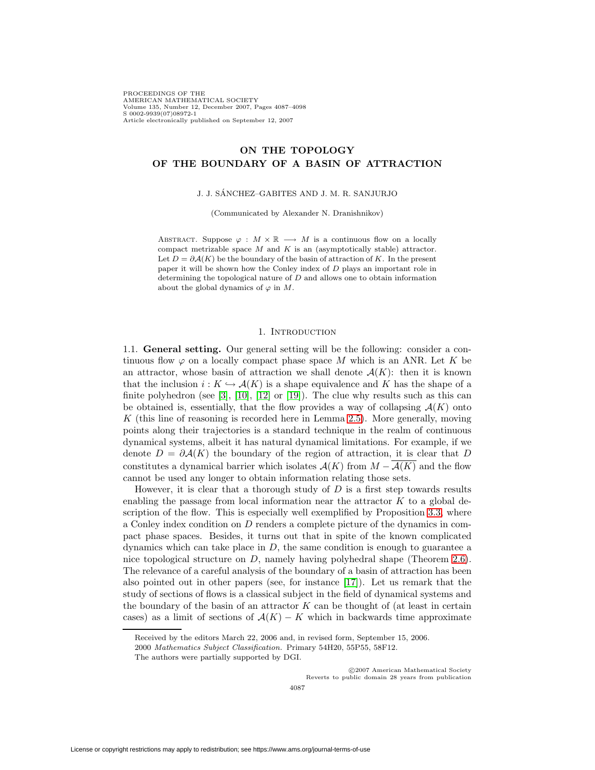PROCEEDINGS OF THE AMERICAN MATHEMATICAL SOCIETY Volume 135, Number 12, December 2007, Pages 4087–4098 S 0002-9939(07)08972-1 Article electronically published on September 12, 2007

# **ON THE TOPOLOGY OF THE BOUNDARY OF A BASIN OF ATTRACTION**

### J. J. SANCHEZ–GABITES AND J. M. R. SANJURJO ´

(Communicated by Alexander N. Dranishnikov)

ABSTRACT. Suppose  $\varphi : M \times \mathbb{R} \longrightarrow M$  is a continuous flow on a locally compact metrizable space  $M$  and  $K$  is an (asymptotically stable) attractor. Let  $D = \partial \mathcal{A}(K)$  be the boundary of the basin of attraction of K. In the present paper it will be shown how the Conley index of D plays an important role in determining the topological nature of  $D$  and allows one to obtain information about the global dynamics of  $\varphi$  in M.

### 1. INTRODUCTION

1.1. **General setting.** Our general setting will be the following: consider a continuous flow  $\varphi$  on a locally compact phase space M which is an ANR. Let K be an attractor, whose basin of attraction we shall denote  $A(K)$ : then it is known that the inclusion  $i: K \hookrightarrow \mathcal{A}(K)$  is a shape equivalence and K has the shape of a finite polyhedron (see  $[3]$ ,  $[10]$ ,  $[12]$  or  $[19]$ ). The clue why results such as this can be obtained is, essentially, that the flow provides a way of collapsing  $\mathcal{A}(K)$  onto K (this line of reasoning is recorded here in Lemma [2.5\)](#page-4-0). More generally, moving points along their trajectories is a standard technique in the realm of continuous dynamical systems, albeit it has natural dynamical limitations. For example, if we denote  $D = \partial \mathcal{A}(K)$  the boundary of the region of attraction, it is clear that D constitutes a dynamical barrier which isolates  $\mathcal{A}(K)$  from  $M - \overline{\mathcal{A}(K)}$  and the flow cannot be used any longer to obtain information relating those sets.

However, it is clear that a thorough study of  $D$  is a first step towards results enabling the passage from local information near the attractor  $K$  to a global de-scription of the flow. This is especially well exemplified by Proposition [3.3,](#page-6-0) where a Conley index condition on D renders a complete picture of the dynamics in compact phase spaces. Besides, it turns out that in spite of the known complicated dynamics which can take place in  $D$ , the same condition is enough to guarantee a nice topological structure on D, namely having polyhedral shape (Theorem [2.6\)](#page-4-1). The relevance of a careful analysis of the boundary of a basin of attraction has been also pointed out in other papers (see, for instance [\[17\]](#page-10-4)). Let us remark that the study of sections of flows is a classical subject in the field of dynamical systems and the boundary of the basin of an attractor  $K$  can be thought of (at least in certain cases) as a limit of sections of  $A(K) - K$  which in backwards time approximate

c 2007 American Mathematical Society Reverts to public domain 28 years from publication

Received by the editors March 22, 2006 and, in revised form, September 15, 2006.

<sup>2000</sup> Mathematics Subject Classification. Primary 54H20, 55P55, 58F12.

The authors were partially supported by DGI.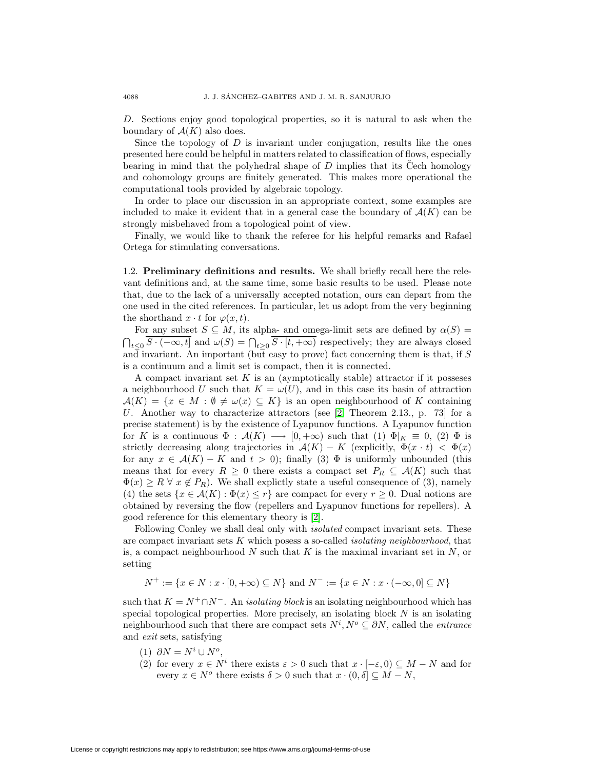D. Sections enjoy good topological properties, so it is natural to ask when the boundary of  $\mathcal{A}(K)$  also does.

Since the topology of  $D$  is invariant under conjugation, results like the ones presented here could be helpful in matters related to classification of flows, especially bearing in mind that the polyhedral shape of  $D$  implies that its Cech homology and cohomology groups are finitely generated. This makes more operational the computational tools provided by algebraic topology.

In order to place our discussion in an appropriate context, some examples are included to make it evident that in a general case the boundary of  $\mathcal{A}(K)$  can be strongly misbehaved from a topological point of view.

Finally, we would like to thank the referee for his helpful remarks and Rafael Ortega for stimulating conversations.

1.2. **Preliminary definitions and results.** We shall briefly recall here the relevant definitions and, at the same time, some basic results to be used. Please note that, due to the lack of a universally accepted notation, ours can depart from the one used in the cited references. In particular, let us adopt from the very beginning the shorthand  $x \cdot t$  for  $\varphi(x, t)$ .

For any subset  $S \subseteq M$ , its alpha- and omega-limit sets are defined by  $\alpha(S)$  =  $\bigcap_{t\leq 0} S \cdot (-\infty, t]$  and  $\omega(S) = \bigcap_{t\geq 0} S \cdot [t, +\infty)$  respectively; they are always closed and invariant. An important (but easy to prove) fact concerning them is that, if S is a continuum and a limit set is compact, then it is connected.

A compact invariant set  $K$  is an (aymptotically stable) attractor if it possesses a neighbourhood U such that  $K = \omega(U)$ , and in this case its basin of attraction  $\mathcal{A}(K) = \{x \in M : \emptyset \neq \omega(x) \subseteq K\}$  is an open neighbourhood of K containing U. Another way to characterize attractors (see [\[2,](#page-10-5) Theorem 2.13., p. 73] for a precise statement) is by the existence of Lyapunov functions. A Lyapunov function for K is a continuous  $\Phi : \mathcal{A}(K) \longrightarrow [0, +\infty)$  such that  $(1) \Phi|_K \equiv 0$ ,  $(2) \Phi$  is strictly decreasing along trajectories in  $\mathcal{A}(K) - K$  (explicitly,  $\Phi(x \cdot t) < \Phi(x)$ ) for any  $x \in \mathcal{A}(K) - K$  and  $t > 0$ ; finally (3)  $\Phi$  is uniformly unbounded (this means that for every  $R \geq 0$  there exists a compact set  $P_R \subseteq A(K)$  such that  $\Phi(x) \geq R \,\forall \, x \notin P_R$ . We shall explictly state a useful consequence of (3), namely (4) the sets  $\{x \in \mathcal{A}(K) : \Phi(x) \leq r\}$  are compact for every  $r \geq 0$ . Dual notions are obtained by reversing the flow (repellers and Lyapunov functions for repellers). A good reference for this elementary theory is [\[2\]](#page-10-5).

Following Conley we shall deal only with *isolated* compact invariant sets. These are compact invariant sets  $K$  which posess a so-called *isolating neighbourhood*, that is, a compact neighbourhood  $N$  such that  $K$  is the maximal invariant set in  $N$ , or setting

 $N^+ := \{x \in N : x \cdot [0, +\infty) \subseteq N\}$  and  $N^- := \{x \in N : x \cdot (-\infty, 0] \subseteq N\}$ 

such that  $K = N^+ \cap N^-$ . An *isolating block* is an isolating neighbourhood which has special topological properties. More precisely, an isolating block  $N$  is an isolating neighbourhood such that there are compact sets  $N^i, N^o \subseteq \partial N$ , called the *entrance* and exit sets, satisfying

- (1)  $\partial N = N^i \cup N^o$ ,
- (2) for every  $x \in N^i$  there exists  $\varepsilon > 0$  such that  $x \cdot [-\varepsilon, 0) \subseteq M N$  and for every  $x \in N^o$  there exists  $\delta > 0$  such that  $x \cdot (0, \delta] \subseteq M - N$ ,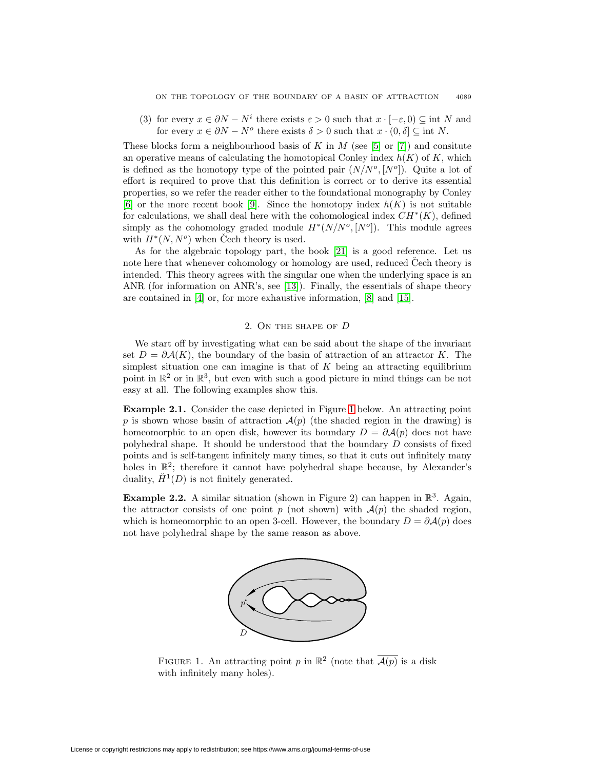(3) for every  $x \in \partial N - N^i$  there exists  $\varepsilon > 0$  such that  $x \cdot [-\varepsilon, 0) \subseteq \text{int } N$  and for every  $x \in \partial N - N^o$  there exists  $\delta > 0$  such that  $x \cdot (0, \delta] \subseteq \text{int } N$ .

These blocks form a neighbourhood basis of K in M (see [\[5\]](#page-10-6) or [\[7\]](#page-10-7)) and consitute an operative means of calculating the homotopical Conley index  $h(K)$  of K, which is defined as the homotopy type of the pointed pair  $(N/N^o, [N^o])$ . Quite a lot of effort is required to prove that this definition is correct or to derive its essential properties, so we refer the reader either to the foundational monography by Conley [\[6\]](#page-10-8) or the more recent book [\[9\]](#page-10-9). Since the homotopy index  $h(K)$  is not suitable for calculations, we shall deal here with the cohomological index  $CH<sup>*</sup>(K)$ , defined simply as the cohomology graded module  $H^*(N/N^o, [N^o])$ . This module agrees with  $H^*(N, N^o)$  when Čech theory is used.

As for the algebraic topology part, the book [\[21\]](#page-10-10) is a good reference. Let us note here that whenever cohomology or homology are used, reduced Cech theory is intended. This theory agrees with the singular one when the underlying space is an ANR (for information on ANR's, see [\[13\]](#page-10-11)). Finally, the essentials of shape theory are contained in [\[4\]](#page-10-12) or, for more exhaustive information, [\[8\]](#page-10-13) and [\[15\]](#page-10-14).

## 2. On the shape of D

We start off by investigating what can be said about the shape of the invariant set  $D = \partial \mathcal{A}(K)$ , the boundary of the basin of attraction of an attractor K. The simplest situation one can imagine is that of  $K$  being an attracting equilibrium point in  $\mathbb{R}^2$  or in  $\mathbb{R}^3$ , but even with such a good picture in mind things can be not easy at all. The following examples show this.

<span id="page-2-1"></span>**Example 2.1.** Consider the case depicted in Figure [1](#page-2-0) below. An attracting point p is shown whose basin of attraction  $\mathcal{A}(p)$  (the shaded region in the drawing) is homeomorphic to an open disk, however its boundary  $D = \partial \mathcal{A}(p)$  does not have polyhedral shape. It should be understood that the boundary D consists of fixed points and is self-tangent infinitely many times, so that it cuts out infinitely many holes in  $\mathbb{R}^2$ ; therefore it cannot have polyhedral shape because, by Alexander's duality,  $\check{H}^1(D)$  is not finitely generated.

**Example 2.2.** A similar situation (shown in Figure 2) can happen in  $\mathbb{R}^3$ . Again, the attractor consists of one point p (not shown) with  $\mathcal{A}(p)$  the shaded region, which is homeomorphic to an open 3-cell. However, the boundary  $D = \partial \mathcal{A}(p)$  does not have polyhedral shape by the same reason as above.



<span id="page-2-0"></span>FIGURE 1. An attracting point p in  $\mathbb{R}^2$  (note that  $\overline{\mathcal{A}(p)}$  is a disk with infinitely many holes).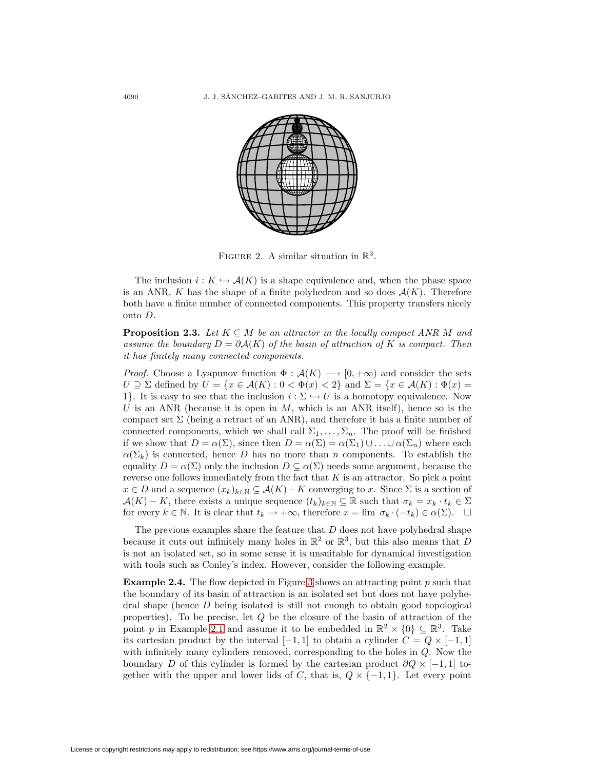

FIGURE 2. A similar situation in  $\mathbb{R}^3$ .

The inclusion  $i: K \hookrightarrow \mathcal{A}(K)$  is a shape equivalence and, when the phase space is an ANR, K has the shape of a finite polyhedron and so does  $\mathcal{A}(K)$ . Therefore both have a finite number of connected components. This property transfers nicely onto D.

<span id="page-3-0"></span>**Proposition 2.3.** Let  $K \subseteq M$  be an attractor in the locally compact ANR M and assume the boundary  $D = \partial \mathcal{A}(K)$  of the basin of attraction of K is compact. Then it has finitely many connected components.

*Proof.* Choose a Lyapunov function  $\Phi : \mathcal{A}(K) \longrightarrow [0, +\infty)$  and consider the sets  $U \supseteq \Sigma$  defined by  $U = \{x \in \mathcal{A}(K) : 0 < \Phi(x) < 2\}$  and  $\Sigma = \{x \in \mathcal{A}(K) : \Phi(x) = 0\}$ 1. It is easy to see that the inclusion  $i : \Sigma \hookrightarrow U$  is a homotopy equivalence. Now U is an ANR (because it is open in  $M$ , which is an ANR itself), hence so is the compact set  $\Sigma$  (being a retract of an ANR), and therefore it has a finite number of connected components, which we shall call  $\Sigma_1,\ldots,\Sigma_n$ . The proof will be finished if we show that  $D = \alpha(\Sigma)$ , since then  $D = \alpha(\Sigma) = \alpha(\Sigma_1) \cup ... \cup \alpha(\Sigma_n)$  where each  $\alpha(\Sigma_k)$  is connected, hence D has no more than n components. To establish the equality  $D = \alpha(\Sigma)$  only the inclusion  $D \subseteq \alpha(\Sigma)$  needs some argument, because the reverse one follows inmediately from the fact that  $K$  is an attractor. So pick a point  $x \in D$  and a sequence  $(x_k)_{k \in \mathbb{N}} \subseteq \mathcal{A}(K) - K$  converging to x. Since  $\Sigma$  is a section of  $\mathcal{A}(K) - K$ , there exists a unique sequence  $(t_k)_{k \in \mathbb{N}} \subseteq \mathbb{R}$  such that  $\sigma_k = x_k \cdot t_k \in \Sigma$ for every  $k \in \mathbb{N}$ . It is clear that  $t_k \to +\infty$ , therefore  $x = \lim \sigma_k \cdot (-t_k) \in \alpha(\Sigma)$ .  $\Box$ 

The previous examples share the feature that  $D$  does not have polyhedral shape because it cuts out infinitely many holes in  $\mathbb{R}^2$  or  $\mathbb{R}^3$ , but this also means that D is not an isolated set, so in some sense it is unsuitable for dynamical investigation with tools such as Conley's index. However, consider the following example.

<span id="page-3-1"></span>**Example 2.4.** The flow depicted in Figure [3](#page-4-2) shows an attracting point p such that the boundary of its basin of attraction is an isolated set but does not have polyhedral shape (hence  $D$  being isolated is still not enough to obtain good topological properties). To be precise, let Q be the closure of the basin of attraction of the point p in Example [2.1](#page-2-1) and assume it to be embedded in  $\mathbb{R}^2 \times \{0\} \subseteq \mathbb{R}^3$ . Take its cartesian product by the interval  $[-1, 1]$  to obtain a cylinder  $C = Q \times [-1, 1]$ with infinitely many cylinders removed, corresponding to the holes in Q. Now the boundary D of this cylinder is formed by the cartesian product  $\partial Q \times [-1,1]$  together with the upper and lower lids of C, that is,  $Q \times \{-1, 1\}$ . Let every point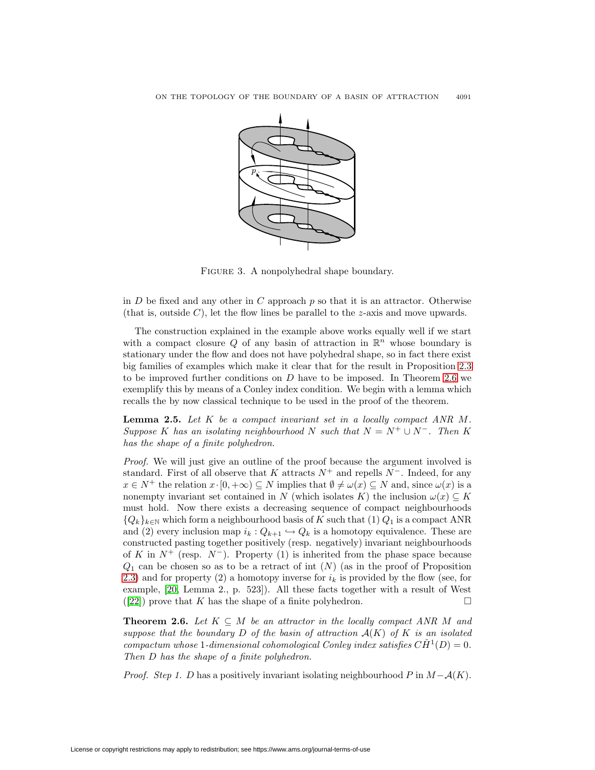

<span id="page-4-2"></span>FIGURE 3. A nonpolyhedral shape boundary.

in  $D$  be fixed and any other in  $C$  approach  $p$  so that it is an attractor. Otherwise (that is, outside C), let the flow lines be parallel to the z-axis and move upwards.

The construction explained in the example above works equally well if we start with a compact closure Q of any basin of attraction in  $\mathbb{R}^n$  whose boundary is stationary under the flow and does not have polyhedral shape, so in fact there exist big families of examples which make it clear that for the result in Proposition [2.3](#page-3-0) to be improved further conditions on  $D$  have to be imposed. In Theorem [2.6](#page-4-1) we exemplify this by means of a Conley index condition. We begin with a lemma which recalls the by now classical technique to be used in the proof of the theorem.

<span id="page-4-0"></span>**Lemma 2.5.** Let K be a compact invariant set in a locally compact ANR M. Suppose K has an isolating neighbourhood N such that  $N = N^+ \cup N^-$ . Then K has the shape of a finite polyhedron.

Proof. We will just give an outline of the proof because the argument involved is standard. First of all observe that K attracts  $N^+$  and repells  $N^-$ . Indeed, for any  $x \in N^+$  the relation  $x \cdot [0, +\infty) \subseteq N$  implies that  $\emptyset \neq \omega(x) \subseteq N$  and, since  $\omega(x)$  is a nonempty invariant set contained in N (which isolates K) the inclusion  $\omega(x) \subseteq K$ must hold. Now there exists a decreasing sequence of compact neighbourhoods  ${Q_k}_{k\in\mathbb{N}}$  which form a neighbourhood basis of K such that  $(1)$   $Q_1$  is a compact ANR and (2) every inclusion map  $i_k: Q_{k+1} \hookrightarrow Q_k$  is a homotopy equivalence. These are constructed pasting together positively (resp. negatively) invariant neighbourhoods of K in  $N^+$  (resp.  $N^-$ ). Property (1) is inherited from the phase space because  $Q_1$  can be chosen so as to be a retract of int  $(N)$  (as in the proof of Proposition [2.3\)](#page-3-0) and for property (2) a homotopy inverse for  $i_k$  is provided by the flow (see, for example, [\[20,](#page-10-15) Lemma 2., p. 523]). All these facts together with a result of West ([\[22\]](#page-10-16)) prove that K has the shape of a finite polyhedron.  $\square$ 

<span id="page-4-1"></span>**Theorem 2.6.** Let  $K \subseteq M$  be an attractor in the locally compact ANR M and suppose that the boundary D of the basin of attraction  $A(K)$  of K is an isolated compactum whose 1-dimensional cohomological Conley index satisfies  $CH<sup>1</sup>(D)=0$ . Then D has the shape of a finite polyhedron.

*Proof.* Step 1. D has a positively invariant isolating neighbourhood P in  $M-\mathcal{A}(K)$ .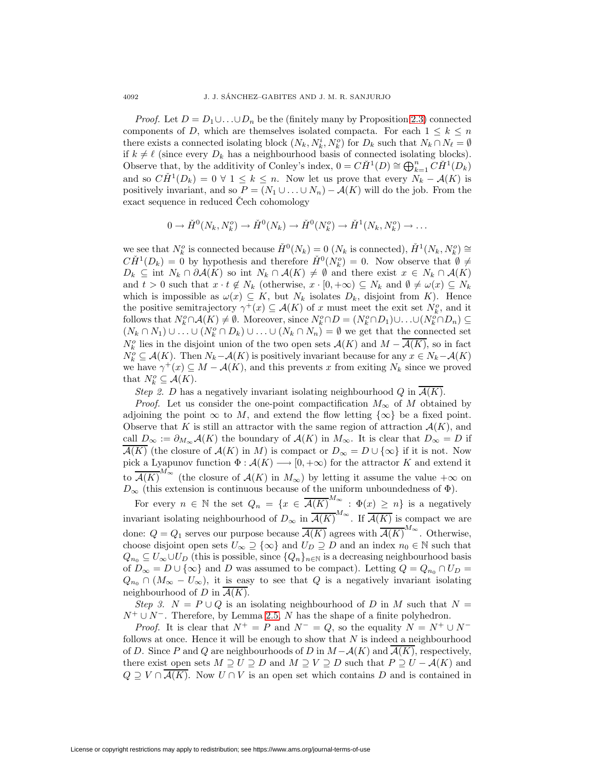*Proof.* Let  $D = D_1 \cup \ldots \cup D_n$  be the (finitely many by Proposition [2.3\)](#page-3-0) connected components of D, which are themselves isolated compacta. For each  $1 \leq k \leq n$ there exists a connected isolating block  $(N_k, N_k^i, N_k^o)$  for  $D_k$  such that  $N_k \cap N_\ell = \emptyset$ if  $k \neq \ell$  (since every  $D_k$  has a neighbourhood basis of connected isolating blocks). Observe that, by the additivity of Conley's index,  $0 = C\check{H}^1(D) \cong \bigoplus_{k=1}^n C\check{H}^1(D_k)$ and so  $C\check{H}^1(D_k)=0$   $\forall$  1  $\leq$  k  $\leq$  n. Now let us prove that every  $N_k - A(K)$  is positively invariant, and so  $P = (N_1 \cup ... \cup N_n) - A(K)$  will do the job. From the exact sequence in reduced Cech cohomology

$$
0 \to \check{H}^0(N_k, N_k^o) \to \check{H}^0(N_k) \to \check{H}^0(N_k^o) \to \check{H}^1(N_k, N_k^o) \to \dots
$$

we see that  $N_k^o$  is connected because  $\check{H}^0(N_k) = 0$   $(N_k$  is connected),  $\check{H}^1(N_k, N_k^o) \cong$  $C\check{H}^1(D_k) = 0$  by hypothesis and therefore  $\check{H}^0(N_k^o) = 0$ . Now observe that  $\check{\emptyset} \neq$  $D_k \subseteq \text{int } N_k \cap \partial \mathcal{A}(K)$  so int  $N_k \cap \mathcal{A}(K) \neq \emptyset$  and there exist  $x \in N_k \cap \mathcal{A}(K)$ and  $t > 0$  such that  $x \cdot t \notin N_k$  (otherwise,  $x \cdot [0, +\infty) \subseteq N_k$  and  $\emptyset \neq \omega(x) \subseteq N_k$ which is impossible as  $\omega(x) \subseteq K$ , but  $N_k$  isolates  $D_k$ , disjoint from K). Hence the positive semitrajectory  $\gamma^+(x) \subseteq \mathcal{A}(K)$  of x must meet the exit set  $N_k^o$ , and it follows that  $N_k^o \cap A(K) \neq \emptyset$ . Moreover, since  $N_k^o \cap D = (N_k^o \cap D_1) \cup ... \cup (N_k^o \cap D_n) \subseteq$  $(N_k \cap N_1) \cup ... \cup (N_k^o \cap D_k) \cup ... \cup (N_k \cap N_n) = \emptyset$  we get that the connected set  $N_k^o$  lies in the disjoint union of the two open sets  $\mathcal{A}(K)$  and  $M - \overline{\mathcal{A}(K)}$ , so in fact  $N_k^o \subseteq \mathcal{A}(K)$ . Then  $N_k-\mathcal{A}(K)$  is positively invariant because for any  $x \in N_k-\mathcal{A}(K)$ we have  $\gamma^+(x) \subseteq M - \mathcal{A}(K)$ , and this prevents x from exiting  $N_k$  since we proved that  $N_k^o \subseteq \mathcal{A}(K)$ .

Step 2. D has a negatively invariant isolating neighbourhood Q in  $\overline{\mathcal{A}(K)}$ .

*Proof.* Let us consider the one-point compactification  $M_{\infty}$  of M obtained by adjoining the point  $\infty$  to M, and extend the flow letting  $\{\infty\}$  be a fixed point. Observe that K is still an attractor with the same region of attraction  $\mathcal{A}(K)$ , and call  $D_{\infty} := \partial_{M_{\infty}} A(K)$  the boundary of  $A(K)$  in  $M_{\infty}$ . It is clear that  $D_{\infty} = D$  if  $\overline{\mathcal{A}(K)}$  (the closure of  $\mathcal{A}(K)$  in M) is compact or  $D_{\infty} = D \cup \{\infty\}$  if it is not. Now pick a Lyapunov function  $\Phi : \mathcal{A}(K) \longrightarrow [0, +\infty)$  for the attractor K and extend it to  $\overline{\mathcal{A}(K)}^{M_{\infty}}$  (the closure of  $\mathcal{A}(K)$  in  $M_{\infty}$ ) by letting it assume the value  $+\infty$  on  $D_{\infty}$  (this extension is continuous because of the uniform unboundedness of  $\Phi$ ).

For every  $n \in \mathbb{N}$  the set  $Q_n = \{x \in \overline{\mathcal{A}(K)}^{M_\infty} : \Phi(x) \geq n\}$  is a negatively invariant isolating neighbourhood of  $D_{\infty}$  in  $\overline{\mathcal{A}(K)}^{M_{\infty}}$ . If  $\overline{\mathcal{A}(K)}$  is compact we are done:  $Q = Q_1$  serves our purpose because  $\overline{\mathcal{A}(K)}$  agrees with  $\overline{\mathcal{A}(K)}^{M_{\infty}}$ . Otherwise, choose disjoint open sets  $U_{\infty} \supseteq {\infty}$  and  $U_D \supseteq D$  and an index  $n_0 \in \mathbb{N}$  such that  $Q_{n_0} \subseteq U_{\infty} \cup U_D$  (this is possible, since  $\{Q_n\}_{n\in\mathbb{N}}$  is a decreasing neighbourhood basis of  $D_{\infty} = D \cup {\infty}$  and D was assumed to be compact). Letting  $Q = Q_{n_0} \cap U_D =$  $Q_{n_0} \cap (M_\infty - U_\infty)$ , it is easy to see that Q is a negatively invariant isolating neighbourhood of  $D$  in  $\mathcal{A}(K)$ .

Step 3.  $N = P \cup Q$  is an isolating neighbourhood of D in M such that  $N =$  $N^+ \cup N^-$ . Therefore, by Lemma [2.5,](#page-4-0) N has the shape of a finite polyhedron.

*Proof.* It is clear that  $N^+ = P$  and  $N^- = Q$ , so the equality  $N = N^+ \cup N^$ follows at once. Hence it will be enough to show that  $N$  is indeed a neighbourhood of D. Since P and Q are neighbourhoods of D in  $M - A(K)$  and  $A(K)$ , respectively, there exist open sets  $M \supseteq U \supseteq D$  and  $M \supseteq V \supseteq D$  such that  $P \supseteq U - \mathcal{A}(K)$  and  $Q \supseteq V \cap A(K)$ . Now  $U \cap V$  is an open set which contains D and is contained in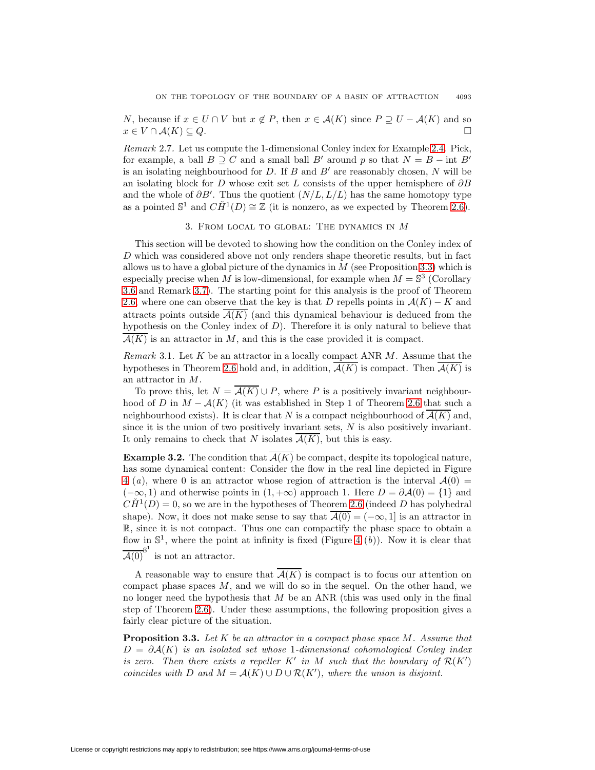N, because if  $x \in U \cap V$  but  $x \notin P$ , then  $x \in \mathcal{A}(K)$  since  $P \supseteq U - \mathcal{A}(K)$  and so  $x \in V \cap A(K) \subseteq Q.$ 

Remark 2.7. Let us compute the 1-dimensional Conley index for Example [2.4.](#page-3-1) Pick, for example, a ball  $B \supseteq C$  and a small ball B' around p so that  $N = B - \text{int } B'$ is an isolating neighbourhood for D. If B and  $B'$  are reasonably chosen, N will be an isolating block for D whose exit set L consists of the upper hemisphere of  $\partial B$ and the whole of  $\partial B'$ . Thus the quotient  $(N/L, L/L)$  has the same homotopy type as a pointed  $\mathbb{S}^1$  and  $C\check{H}^1(D) \cong \mathbb{Z}$  (it is nonzero, as we expected by Theorem [2.6\)](#page-4-1).

### 3. From local to global: The dynamics in M

This section will be devoted to showing how the condition on the Conley index of D which was considered above not only renders shape theoretic results, but in fact allows us to have a global picture of the dynamics in  $M$  (see Proposition [3.3\)](#page-6-0) which is especially precise when M is low-dimensional, for example when  $M = \mathbb{S}^3$  (Corollary [3.6](#page-8-0) and Remark [3.7\)](#page-9-0). The starting point for this analysis is the proof of Theorem [2.6,](#page-4-1) where one can observe that the key is that D repells points in  $\mathcal{A}(K) - K$  and attracts points outside  $\mathcal{A}(K)$  (and this dynamical behaviour is deduced from the hypothesis on the Conley index of  $D$ ). Therefore it is only natural to believe that  $\mathcal{A}(K)$  is an attractor in M, and this is the case provided it is compact.

<span id="page-6-1"></span>*Remark* 3.1. Let K be an attractor in a locally compact ANR  $M$ . Assume that the hypotheses in Theorem [2.6](#page-4-1) hold and, in addition,  $\overline{A(K)}$  is compact. Then  $\overline{A(K)}$  is an attractor in M.

To prove this, let  $N = \mathcal{A}(K) \cup P$ , where P is a positively invariant neighbourhood of D in  $M - A(K)$  (it was established in Step 1 of Theorem [2.6](#page-4-1) that such a neighbourhood exists). It is clear that N is a compact neighbourhood of  $\mathcal{A}(K)$  and, since it is the union of two positively invariant sets,  $N$  is also positively invariant. It only remains to check that N isolates  $\overline{\mathcal{A}(K)}$ , but this is easy.

**Example 3.2.** The condition that  $\overline{A(K)}$  be compact, despite its topological nature, has some dynamical content: Consider the flow in the real line depicted in Figure [4](#page-7-0) (a), where 0 is an attractor whose region of attraction is the interval  $A(0) =$  $(-\infty, 1)$  and otherwise points in  $(1, +\infty)$  approach 1. Here  $D = \partial \mathcal{A}(0) = \{1\}$  and  $CH<sup>1</sup>(D) = 0$ , so we are in the hypotheses of Theorem [2.6](#page-4-1) (indeed D has polyhedral shape). Now, it does not make sense to say that  $\overline{A(0)} = (-\infty, 1]$  is an attractor in R, since it is not compact. Thus one can compactify the phase space to obtain a flow in  $\mathbb{S}^1$ , where the point at infinity is fixed (Figure [4](#page-7-0) (b)). Now it is clear that  $\overline{\mathcal{A}(0)}^{\mathbb{S}^1}$  is not an attractor.

A reasonable way to ensure that  $\overline{\mathcal{A}(K)}$  is compact is to focus our attention on compact phase spaces  $M$ , and we will do so in the sequel. On the other hand, we no longer need the hypothesis that  $M$  be an ANR (this was used only in the final step of Theorem [2.6\)](#page-4-1). Under these assumptions, the following proposition gives a fairly clear picture of the situation.

<span id="page-6-0"></span>**Proposition 3.3.** Let K be an attractor in a compact phase space M. Assume that  $D = \partial \mathcal{A}(K)$  is an isolated set whose 1-dimensional cohomological Conley index is zero. Then there exists a repeller  $K'$  in M such that the boundary of  $\mathcal{R}(K')$ coincides with D and  $M = A(K) \cup D \cup \mathcal{R}(K')$ , where the union is disjoint.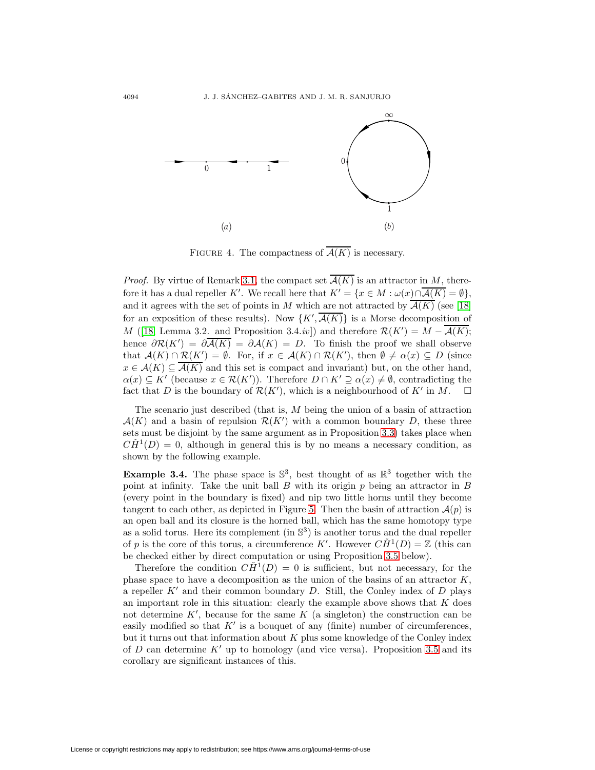

<span id="page-7-0"></span>FIGURE 4. The compactness of  $\overline{\mathcal{A}(K)}$  is necessary.

*Proof.* By virtue of Remark [3.1,](#page-6-1) the compact set  $\overline{\mathcal{A}(K)}$  is an attractor in M, therefore it has a dual repeller K'. We recall here that  $K' = \{x \in M : \omega(x) \cap A(K) = \emptyset\},\$ and it agrees with the set of points in M which are not attracted by  $\overline{\mathcal{A}(K)}$  (see [\[18\]](#page-10-17) for an exposition of these results). Now  $\{K', \mathcal{A}(K)\}\$ is a Morse decomposition of M ([\[18,](#page-10-17) Lemma 3.2. and Proposition 3.4.*iv*]) and therefore  $\mathcal{R}(K') = M - \mathcal{A}(K)$ ; hence  $\partial \mathcal{R}(K') = \partial \mathcal{A}(K) = \partial \mathcal{A}(K) = D$ . To finish the proof we shall observe that  $\mathcal{A}(K) \cap \mathcal{R}(K') = \emptyset$ . For, if  $x \in \mathcal{A}(K) \cap \mathcal{R}(K')$ , then  $\emptyset \neq \alpha(x) \subseteq D$  (since  $x \in \mathcal{A}(K) \subseteq \overline{\mathcal{A}(K)}$  and this set is compact and invariant) but, on the other hand,  $\alpha(x) \subseteq K'$  (because  $x \in \mathcal{R}(K')$ ). Therefore  $D \cap K' \supseteq \alpha(x) \neq \emptyset$ , contradicting the fact that D is the boundary of  $\mathcal{R}(K')$ , which is a neighbourhood of  $K'$  in  $M$ .  $\Box$ 

The scenario just described (that is, M being the union of a basin of attraction  $\mathcal{A}(K)$  and a basin of repulsion  $\mathcal{R}(K')$  with a common boundary D, these three sets must be disjoint by the same argument as in Proposition [3.3\)](#page-6-0) takes place when  $CH<sup>1</sup>(D) = 0$ , although in general this is by no means a necessary condition, as shown by the following example.

**Example 3.4.** The phase space is  $\mathbb{S}^3$ , best thought of as  $\mathbb{R}^3$  together with the point at infinity. Take the unit ball  $B$  with its origin  $p$  being an attractor in  $B$ (every point in the boundary is fixed) and nip two little horns until they become tangent to each other, as depicted in Figure [5.](#page-8-1) Then the basin of attraction  $\mathcal{A}(p)$  is an open ball and its closure is the horned ball, which has the same homotopy type as a solid torus. Here its complement (in  $\mathbb{S}^3$ ) is another torus and the dual repeller of p is the core of this torus, a circumference K'. However  $C\check{H}^1(D) = \mathbb{Z}$  (this can be checked either by direct computation or using Proposition [3.5](#page-7-1) below).

<span id="page-7-1"></span>Therefore the condition  $C\check{H}^1(D) = 0$  is sufficient, but not necessary, for the phase space to have a decomposition as the union of the basins of an attractor  $K$ , a repeller  $K'$  and their common boundary D. Still, the Conley index of D plays an important role in this situation: clearly the example above shows that  $K$  does not determine  $K'$ , because for the same  $K$  (a singleton) the construction can be easily modified so that  $K'$  is a bouquet of any (finite) number of circumferences, but it turns out that information about  $K$  plus some knowledge of the Conley index of D can determine  $K'$  up to homology (and vice versa). Proposition [3.5](#page-7-1) and its corollary are significant instances of this.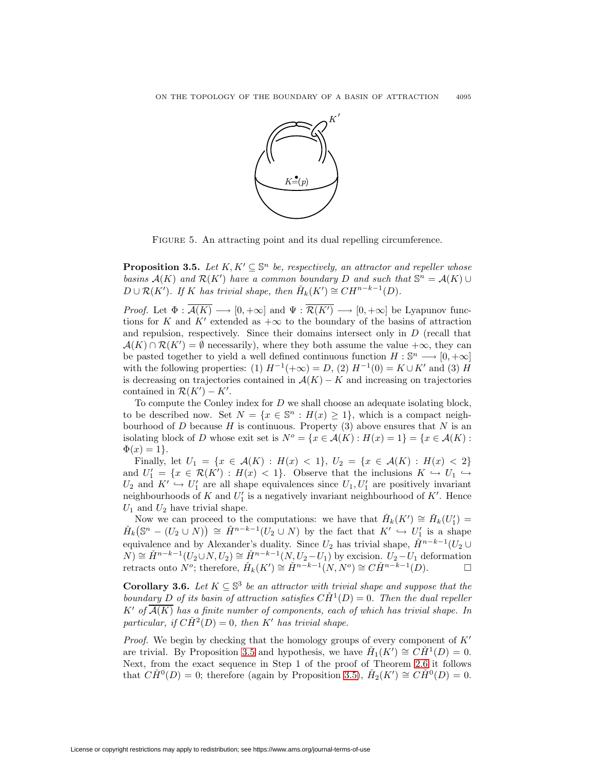

FIGURE 5. An attracting point and its dual repelling circumference.

<span id="page-8-1"></span>**Proposition 3.5.** Let  $K, K' \subseteq \mathbb{S}^n$  be, respectively, an attractor and repeller whose basins  $\mathcal{A}(K)$  and  $\mathcal{R}(K')$  have a common boundary D and such that  $\mathbb{S}^n = \mathcal{A}(K) \cup$  $D \cup \mathcal{R}(K')$ . If K has trivial shape, then  $\check{H}_k(K') \cong CH^{n-k-1}(D)$ .

*Proof.* Let  $\Phi : \mathcal{A}(K) \longrightarrow [0, +\infty]$  and  $\Psi : \mathcal{R}(K') \longrightarrow [0, +\infty]$  be Lyapunov functions for K and K' extended as  $+\infty$  to the boundary of the basins of attraction and repulsion, respectively. Since their domains intersect only in  $D$  (recall that  $\mathcal{A}(K) \cap \mathcal{R}(K') = \emptyset$  necessarily), where they both assume the value  $+\infty$ , they can be pasted together to yield a well defined continuous function  $H : \mathbb{S}^n \longrightarrow [0, +\infty]$ with the following properties: (1)  $H^{-1}(+\infty) = D$ , (2)  $H^{-1}(0) = K \cup K'$  and (3) H is decreasing on trajectories contained in  $\mathcal{A}(K) - K$  and increasing on trajectories contained in  $\mathcal{R}(K') - K'$ .

To compute the Conley index for D we shall choose an adequate isolating block, to be described now. Set  $N = \{x \in \mathbb{S}^n : H(x) \geq 1\}$ , which is a compact neighbourhood of  $D$  because  $H$  is continuous. Property (3) above ensures that  $N$  is an isolating block of D whose exit set is  $N^o = \{x \in \mathcal{A}(K) : H(x) = 1\} = \{x \in \mathcal{A}(K) :$  $\Phi(x)=1$ .

Finally, let  $U_1 = \{x \in \mathcal{A}(K) : H(x) < 1\}, U_2 = \{x \in \mathcal{A}(K) : H(x) < 2\}$ and  $U'_1 = \{x \in \mathcal{R}(K') : H(x) < 1\}$ . Observe that the inclusions  $K \hookrightarrow U_1 \hookrightarrow$  $U_2$  and  $K' \hookrightarrow U'_1$  are all shape equivalences since  $U_1, U'_1$  are positively invariant neighbourhoods of K and  $U'_1$  is a negatively invariant neighbourhood of K'. Hence  $U_1$  and  $U_2$  have trivial shape.

Now we can proceed to the computations: we have that  $\check{H}_k(K') \cong \check{H}_k(U'_1) =$  $\check{H}_k(\mathbb{S}^n-(U_2\cup N))\cong \check{H}^{n-k-1}(U_2\cup N)$  by the fact that  $K'\hookrightarrow U'_1$  is a shape equivalence and by Alexander's duality. Since  $U_2$  has trivial shape,  $\check{H}^{n-k-1}(U_2 \cup$  $(N) \cong \check{H}^{n-k-1}(U_2 \cup N, U_2) \cong \check{H}^{n-k-1}(N, U_2-U_1)$  by excision.  $U_2-U_1$  deformation retracts onto  $N^o$ ; therefore,  $\check{H}_k(K') \cong \check{H}^{n-k-1}(N,N^o) \cong C\check{H}^{n-k-1}(D)$ . □

<span id="page-8-0"></span>**Corollary 3.6.** Let  $K \subseteq \mathbb{S}^3$  be an attractor with trivial shape and suppose that the boundary D of its basin of attraction satisfies  $C\check{H}^1(D)=0$ . Then the dual repeller K' of  $\overline{A(K)}$  has a finite number of components, each of which has trivial shape. In particular, if  $\check{CH}^2(D)=0$ , then K' has trivial shape.

*Proof.* We begin by checking that the homology groups of every component of  $K'$ are trivial. By Proposition [3.5](#page-7-1) and hypothesis, we have  $\check{H}_1(K') \cong \check{CH}^1(D) = 0$ . Next, from the exact sequence in Step 1 of the proof of Theorem [2.6](#page-4-1) it follows that  $C\check{H}^0(D) = 0$ ; therefore (again by Proposition [3.5\)](#page-7-1),  $\check{H}_2(K') \cong C\check{H}^0(D) = 0$ .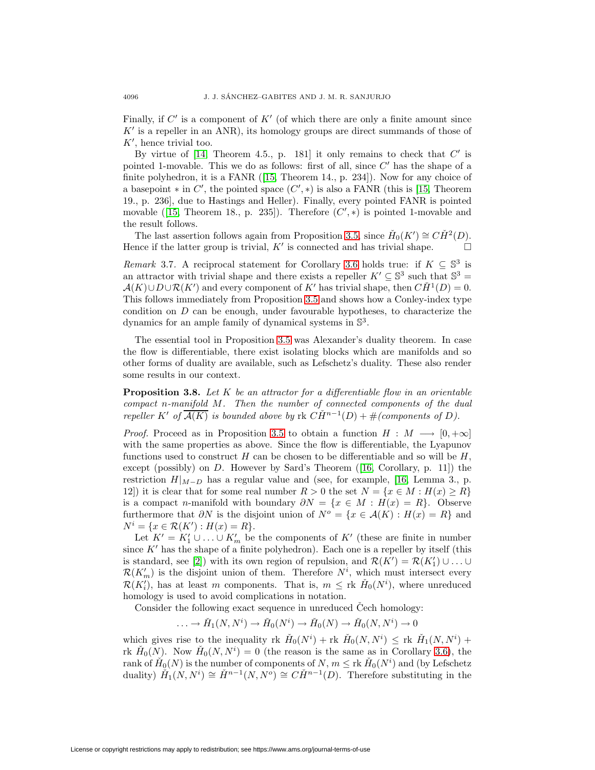Finally, if  $C'$  is a component of  $K'$  (of which there are only a finite amount since  $K'$  is a repeller in an ANR), its homology groups are direct summands of those of  $K'$ , hence trivial too.

By virtue of [\[14,](#page-10-18) Theorem 4.5., p. 181] it only remains to check that  $C'$  is pointed 1-movable. This we do as follows: first of all, since  $C'$  has the shape of a finite polyhedron, it is a FANR ([\[15,](#page-10-14) Theorem 14., p. 234]). Now for any choice of a basepoint  $*$  in C', the pointed space  $(C',*)$  is also a FANR (this is [\[15,](#page-10-14) Theorem 19., p. 236], due to Hastings and Heller). Finally, every pointed FANR is pointed movable ([\[15,](#page-10-14) Theorem 18., p. 235]). Therefore  $(C',*)$  is pointed 1-movable and the result follows.

The last assertion follows again from Proposition [3.5,](#page-7-1) since  $\check{H}_0(K') \cong C\check{H}^2(D)$ . Hence if the latter group is trivial,  $K'$  is connected and has trivial shape.  $\Box$ 

<span id="page-9-0"></span>Remark 3.7. A reciprocal statement for Corollary [3.6](#page-8-0) holds true: if  $K \subseteq \mathbb{S}^3$  is an attractor with trivial shape and there exists a repeller  $K' \subseteq \mathbb{S}^3$  such that  $\mathbb{S}^3$  =  $\mathcal{A}(K) \cup D \cup \mathcal{R}(K')$  and every component of K' has trivial shape, then  $C\check{H}^1(D) = 0$ . This follows immediately from Proposition [3.5](#page-7-1) and shows how a Conley-index type condition on D can be enough, under favourable hypotheses, to characterize the dynamics for an ample family of dynamical systems in  $\mathbb{S}^3$ .

The essential tool in Proposition [3.5](#page-7-1) was Alexander's duality theorem. In case the flow is differentiable, there exist isolating blocks which are manifolds and so other forms of duality are available, such as Lefschetz's duality. These also render some results in our context.

**Proposition 3.8.** Let K be an attractor for a differentiable flow in an orientable compact n-manifold M. Then the number of connected components of the dual repeller K' of  $\overline{\mathcal{A}(K)}$  is bounded above by rk  $\overline{CH}^{n-1}(D)+\#(components \ of \ D).$ 

*Proof.* Proceed as in Proposition [3.5](#page-7-1) to obtain a function  $H : M \longrightarrow [0, +\infty]$ with the same properties as above. Since the flow is differentiable, the Lyapunov functions used to construct H can be chosen to be differentiable and so will be  $H$ . except (possibly) on D. However by Sard's Theorem ([\[16,](#page-10-19) Corollary, p. 11]) the restriction  $H|_{M-D}$  has a regular value and (see, for example, [\[16,](#page-10-19) Lemma 3., p. 12]) it is clear that for some real number  $R > 0$  the set  $N = \{x \in M : H(x) \ge R\}$ is a compact n-manifold with boundary  $\partial N = \{x \in M : H(x) = R\}$ . Observe furthermore that  $\partial N$  is the disjoint union of  $N^{\circ} = \{x \in \mathcal{A}(K) : H(x) = R\}$  and  $N^i = \{x \in \mathcal{R}(K') : H(x) = R\}.$ 

Let  $K' = K_1' \cup ... \cup K_m'$  be the components of K' (these are finite in number since  $K'$  has the shape of a finite polyhedron). Each one is a repeller by itself (this is standard, see [\[2\]](#page-10-5)) with its own region of repulsion, and  $\mathcal{R}(K') = \mathcal{R}(K'_1) \cup \ldots \cup$  $\mathcal{R}(K'_m)$  is the disjoint union of them. Therefore  $N^i$ , which must intersect every  $\mathcal{R}(K_i')$ , has at least m components. That is,  $m \leq \text{rk } H_0(N^i)$ , where unreduced homology is used to avoid complications in notation.

Consider the following exact sequence in unreduced Cech homology:

 $\ldots \to \check{H}_1(N, N^i) \to \check{H}_0(N^i) \to \check{H}_0(N) \to \check{H}_0(N, N^i) \to 0$ 

which gives rise to the inequality rk  $\check{H}_0(N^i) +$  rk  $\check{H}_0(N, N^i) \leq$  rk  $\check{H}_1(N, N^i) +$ rk  $H_0(N)$ . Now  $H_0(N, N^i) = 0$  (the reason is the same as in Corollary [3.6\)](#page-8-0), the rank of  $H_0(N)$  is the number of components of N,  $m \leq \operatorname{rk} H_0(N^i)$  and (by Lefschetz duality)  $\check{H}_1(N, N^i) \cong \check{H}^{n-1}(N, N^o) \cong \check{CH}^{n-1}(D)$ . Therefore substituting in the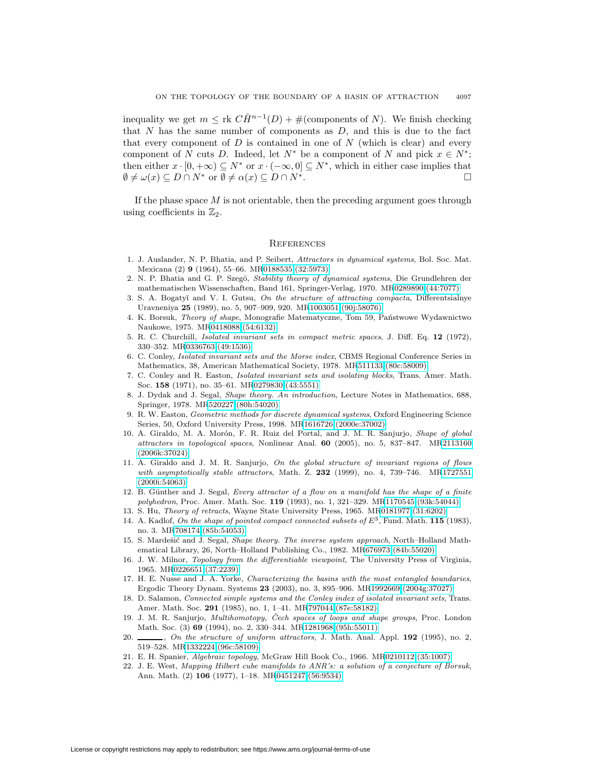inequality we get  $m \leq \text{rk } C\check{H}^{n-1}(D) + \#(\text{components of } N)$ . We finish checking that  $N$  has the same number of components as  $D$ , and this is due to the fact that every component of  $D$  is contained in one of  $N$  (which is clear) and every component of N cuts D. Indeed, let  $N^*$  be a component of N and pick  $x \in N^*$ ; then either  $x \cdot [0, +\infty) \subseteq N^*$  or  $x \cdot (-\infty, 0] \subseteq N^*$ , which in either case implies that  $\emptyset \neq \omega(x) \subseteq D \cap N^*$  or  $\emptyset \neq \alpha(x) \subseteq D \cap N^*$ .

If the phase space  $M$  is not orientable, then the preceding argument goes through using coefficients in  $\mathbb{Z}_2$ .

#### **REFERENCES**

- 1. J. Auslander, N. P. Bhatia, and P. Seibert, Attractors in dynamical systems, Bol. Soc. Mat. Mexicana (2) **9** (1964), 55–66. M[R0188535 \(32:5973\)](http://www.ams.org/mathscinet-getitem?mr=0188535)
- <span id="page-10-5"></span>2. N. P. Bhatia and G. P. Szegö, Stability theory of dynamical systems, Die Grundlehren der mathematischen Wissenschaften, Band 161, Springer-Verlag, 1970. M[R0289890 \(44:7077\)](http://www.ams.org/mathscinet-getitem?mr=0289890)
- <span id="page-10-0"></span>3. S. A. Bogatyĭ and V. I. Gutsu, On the structure of attracting compacta, Differentsialnye Uravneniya **25** (1989), no. 5, 907–909, 920. M[R1003051 \(90j:58076\)](http://www.ams.org/mathscinet-getitem?mr=1003051)
- <span id="page-10-12"></span>4. K. Borsuk, *Theory of shape*, Monografie Matematyczne, Tom 59, Państwowe Wydawnictwo Naukowe, 1975. M[R0418088 \(54:6132\)](http://www.ams.org/mathscinet-getitem?mr=0418088)
- <span id="page-10-6"></span>5. R. C. Churchill, Isolated invariant sets in compact metric spaces, J. Diff. Eq. **12** (1972), 330–352. M[R0336763 \(49:1536\)](http://www.ams.org/mathscinet-getitem?mr=0336763)
- <span id="page-10-8"></span>6. C. Conley, Isolated invariant sets and the Morse index, CBMS Regional Conference Series in Mathematics, 38, American Mathematical Society, 1978. M[R511133 \(80c:58009\)](http://www.ams.org/mathscinet-getitem?mr=511133)
- <span id="page-10-7"></span>7. C. Conley and R. Easton, Isolated invariant sets and isolating blocks, Trans. Amer. Math. Soc. **158** (1971), no. 35–61. M[R0279830 \(43:5551\)](http://www.ams.org/mathscinet-getitem?mr=0279830)
- <span id="page-10-13"></span>8. J. Dydak and J. Segal, Shape theory. An introduction, Lecture Notes in Mathematics, 688, Springer, 1978. M[R520227 \(80h:54020\)](http://www.ams.org/mathscinet-getitem?mr=520227)
- <span id="page-10-9"></span>9. R. W. Easton, Geometric methods for discrete dynamical systems, Oxford Engineering Science Series, 50, Oxford University Press, 1998. M[R1616726 \(2000e:37002\)](http://www.ams.org/mathscinet-getitem?mr=1616726)
- <span id="page-10-1"></span>10. A. Giraldo, M. A. Morón, F. R. Ruiz del Portal, and J. M. R. Sanjurjo, Shape of global attractors in topological spaces, Nonlinear Anal. **60** (2005), no. 5, 837–847. M[R2113160](http://www.ams.org/mathscinet-getitem?mr=2113160) [\(2006k:37024\)](http://www.ams.org/mathscinet-getitem?mr=2113160)
- 11. A. Giraldo and J. M. R. Sanjurjo, On the global structure of invariant regions of flows with asymptotically stable attractors, Math. Z. **232** (1999), no. 4, 739–746. M[R1727551](http://www.ams.org/mathscinet-getitem?mr=1727551) [\(2000i:54063\)](http://www.ams.org/mathscinet-getitem?mr=1727551)
- <span id="page-10-2"></span>12. B. Günther and J. Segal, Every attractor of a flow on a manifold has the shape of a finite polyhedron, Proc. Amer. Math. Soc. **119** (1993), no. 1, 321–329. M[R1170545 \(93k:54044\)](http://www.ams.org/mathscinet-getitem?mr=1170545)
- <span id="page-10-18"></span><span id="page-10-11"></span>13. S. Hu, Theory of retracts, Wayne State University Press, 1965. M[R0181977 \(31:6202\)](http://www.ams.org/mathscinet-getitem?mr=0181977)
- 14. A. Kadlof, On the shape of pointed compact connected subsets of E3, Fund. Math. **115** (1983), no. 3. M[R708174 \(85b:54053\)](http://www.ams.org/mathscinet-getitem?mr=708174)
- <span id="page-10-14"></span>15. S. Mardešić and J. Segal, Shape theory. The inverse system approach, North–Holland Mathematical Library, 26, North–Holland Publishing Co., 1982. M[R676973 \(84b:55020\)](http://www.ams.org/mathscinet-getitem?mr=676973)
- <span id="page-10-19"></span>16. J. W. Milnor, Topology from the differentiable viewpoint, The University Press of Virginia, 1965. M[R0226651 \(37:2239\)](http://www.ams.org/mathscinet-getitem?mr=0226651)
- <span id="page-10-4"></span>17. H. E. Nusse and J. A. Yorke, Characterizing the basins with the most entangled boundaries, Ergodic Theory Dynam. Systems **23** (2003), no. 3, 895–906. M[R1992669 \(2004g:37027\)](http://www.ams.org/mathscinet-getitem?mr=1992669)
- <span id="page-10-17"></span>18. D. Salamon, Connected simple systems and the Conley index of isolated invariant sets, Trans. Amer. Math. Soc. **291** (1985), no. 1, 1–41. M[R797044 \(87e:58182\)](http://www.ams.org/mathscinet-getitem?mr=797044)
- <span id="page-10-3"></span>19. J. M. R. Sanjurjo, *Multihomotopy, Čech spaces of loops and shape groups*, Proc. London Math. Soc. (3) **69** (1994), no. 2, 330–344. M[R1281968 \(95h:55011\)](http://www.ams.org/mathscinet-getitem?mr=1281968)
- <span id="page-10-15"></span>20. , On the structure of uniform attractors, J. Math. Anal. Appl. **192** (1995), no. 2, 519–528. M[R1332224 \(96c:58109\)](http://www.ams.org/mathscinet-getitem?mr=1332224)
- <span id="page-10-16"></span><span id="page-10-10"></span>21. E. H. Spanier, Algebraic topology, McGraw Hill Book Co., 1966. M[R0210112 \(35:1007\)](http://www.ams.org/mathscinet-getitem?mr=0210112)
- 22. J. E. West, Mapping Hilbert cube manifolds to ANR's: a solution of a conjecture of Borsuk, Ann. Math. (2) **106** (1977), 1–18. M[R0451247 \(56:9534\)](http://www.ams.org/mathscinet-getitem?mr=0451247)